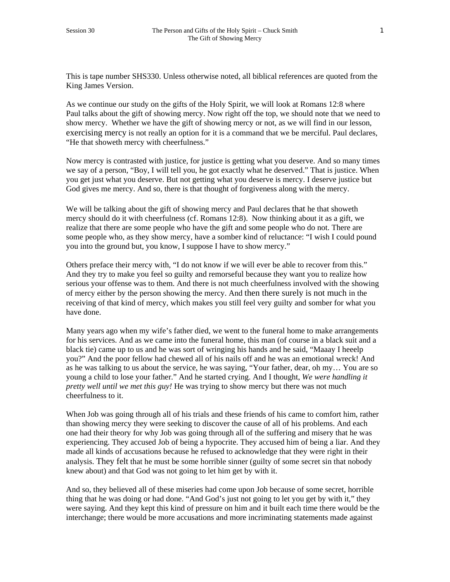This is tape number SHS330. Unless otherwise noted, all biblical references are quoted from the King James Version.

As we continue our study on the gifts of the Holy Spirit, we will look at Romans 12:8 where Paul talks about the gift of showing mercy. Now right off the top, we should note that we need to show mercy. Whether we have the gift of showing mercy or not, as we will find in our lesson, exercising mercy is not really an option for it is a command that we be merciful. Paul declares, "He that showeth mercy with cheerfulness."

Now mercy is contrasted with justice, for justice is getting what you deserve. And so many times we say of a person, "Boy, I will tell you, he got exactly what he deserved." That is justice. When you get just what you deserve. But not getting what you deserve is mercy. I deserve justice but God gives me mercy. And so, there is that thought of forgiveness along with the mercy.

We will be talking about the gift of showing mercy and Paul declares that he that showeth mercy should do it with cheerfulness (cf. Romans 12:8). Now thinking about it as a gift, we realize that there are some people who have the gift and some people who do not. There are some people who, as they show mercy, have a somber kind of reluctance: "I wish I could pound you into the ground but, you know, I suppose I have to show mercy."

Others preface their mercy with, "I do not know if we will ever be able to recover from this." And they try to make you feel so guilty and remorseful because they want you to realize how serious your offense was to them. And there is not much cheerfulness involved with the showing of mercy either by the person showing the mercy. And then there surely is not much in the receiving of that kind of mercy, which makes you still feel very guilty and somber for what you have done.

Many years ago when my wife's father died, we went to the funeral home to make arrangements for his services. And as we came into the funeral home, this man (of course in a black suit and a black tie) came up to us and he was sort of wringing his hands and he said, "Maaay I heeelp you?" And the poor fellow had chewed all of his nails off and he was an emotional wreck! And as he was talking to us about the service, he was saying, "Your father, dear, oh my… You are so young a child to lose your father." And he started crying. And I thought, *We were handling it pretty well until we met this guy!* He was trying to show mercy but there was not much cheerfulness to it.

When Job was going through all of his trials and these friends of his came to comfort him, rather than showing mercy they were seeking to discover the cause of all of his problems. And each one had their theory for why Job was going through all of the suffering and misery that he was experiencing. They accused Job of being a hypocrite. They accused him of being a liar. And they made all kinds of accusations because he refused to acknowledge that they were right in their analysis. They felt that he must be some horrible sinner (guilty of some secret sin that nobody knew about) and that God was not going to let him get by with it.

And so, they believed all of these miseries had come upon Job because of some secret, horrible thing that he was doing or had done. "And God's just not going to let you get by with it," they were saying. And they kept this kind of pressure on him and it built each time there would be the interchange; there would be more accusations and more incriminating statements made against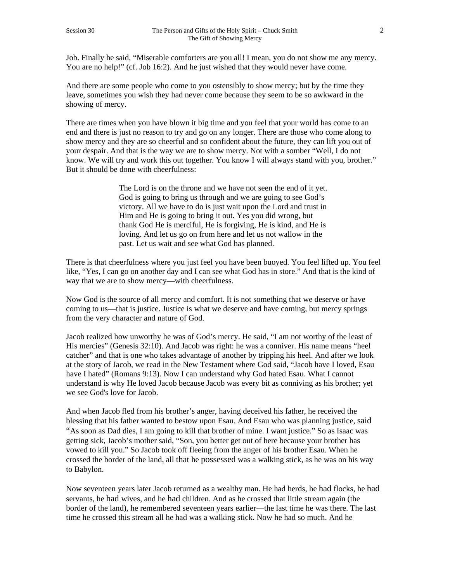Job. Finally he said, "Miserable comforters are you all! I mean, you do not show me any mercy. You are no help!" (cf. Job 16:2). And he just wished that they would never have come.

And there are some people who come to you ostensibly to show mercy; but by the time they leave, sometimes you wish they had never come because they seem to be so awkward in the showing of mercy.

There are times when you have blown it big time and you feel that your world has come to an end and there is just no reason to try and go on any longer. There are those who come along to show mercy and they are so cheerful and so confident about the future, they can lift you out of your despair. And that is the way we are to show mercy. Not with a somber "Well, I do not know. We will try and work this out together. You know I will always stand with you, brother." But it should be done with cheerfulness:

> The Lord is on the throne and we have not seen the end of it yet. God is going to bring us through and we are going to see God's victory. All we have to do is just wait upon the Lord and trust in Him and He is going to bring it out. Yes you did wrong, but thank God He is merciful, He is forgiving, He is kind, and He is loving. And let us go on from here and let us not wallow in the past. Let us wait and see what God has planned.

There is that cheerfulness where you just feel you have been buoyed. You feel lifted up. You feel like, "Yes, I can go on another day and I can see what God has in store." And that is the kind of way that we are to show mercy—with cheerfulness.

Now God is the source of all mercy and comfort. It is not something that we deserve or have coming to us—that is justice. Justice is what we deserve and have coming, but mercy springs from the very character and nature of God.

Jacob realized how unworthy he was of God's mercy. He said, "I am not worthy of the least of His mercies" (Genesis 32:10). And Jacob was right: he was a conniver. His name means "heel catcher" and that is one who takes advantage of another by tripping his heel. And after we look at the story of Jacob, we read in the New Testament where God said, "Jacob have I loved, Esau have I hated" (Romans 9:13). Now I can understand why God hated Esau. What I cannot understand is why He loved Jacob because Jacob was every bit as conniving as his brother; yet we see God's love for Jacob.

And when Jacob fled from his brother's anger, having deceived his father, he received the blessing that his father wanted to bestow upon Esau. And Esau who was planning justice, said "As soon as Dad dies, I am going to kill that brother of mine. I want justice." So as Isaac was getting sick, Jacob's mother said, "Son, you better get out of here because your brother has vowed to kill you." So Jacob took off fleeing from the anger of his brother Esau. When he crossed the border of the land, all that he possessed was a walking stick, as he was on his way to Babylon.

Now seventeen years later Jacob returned as a wealthy man. He had herds, he had flocks, he had servants, he had wives, and he had children. And as he crossed that little stream again (the border of the land), he remembered seventeen years earlier—the last time he was there. The last time he crossed this stream all he had was a walking stick. Now he had so much. And he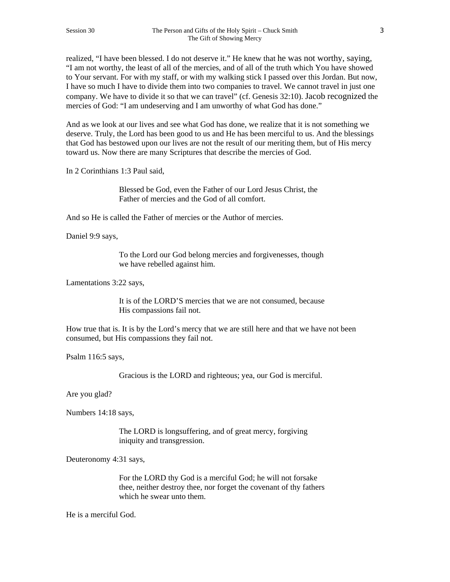realized, "I have been blessed. I do not deserve it." He knew that he was not worthy, saying, "I am not worthy, the least of all of the mercies, and of all of the truth which You have showed to Your servant. For with my staff, or with my walking stick I passed over this Jordan. But now, I have so much I have to divide them into two companies to travel. We cannot travel in just one company. We have to divide it so that we can travel" (cf. Genesis 32:10). Jacob recognized the mercies of God: "I am undeserving and I am unworthy of what God has done."

And as we look at our lives and see what God has done, we realize that it is not something we deserve. Truly, the Lord has been good to us and He has been merciful to us. And the blessings that God has bestowed upon our lives are not the result of our meriting them, but of His mercy toward us. Now there are many Scriptures that describe the mercies of God.

In 2 Corinthians 1:3 Paul said,

Blessed be God, even the Father of our Lord Jesus Christ, the Father of mercies and the God of all comfort.

And so He is called the Father of mercies or the Author of mercies.

Daniel 9:9 says,

To the Lord our God belong mercies and forgivenesses, though we have rebelled against him.

Lamentations 3:22 says,

It is of the LORD'S mercies that we are not consumed, because His compassions fail not.

How true that is. It is by the Lord's mercy that we are still here and that we have not been consumed, but His compassions they fail not.

Psalm 116:5 says,

Gracious is the LORD and righteous; yea, our God is merciful.

Are you glad?

Numbers 14:18 says,

The LORD is longsuffering, and of great mercy, forgiving iniquity and transgression.

Deuteronomy 4:31 says,

For the LORD thy God is a merciful God; he will not forsake thee, neither destroy thee, nor forget the covenant of thy fathers which he swear unto them.

He is a merciful God.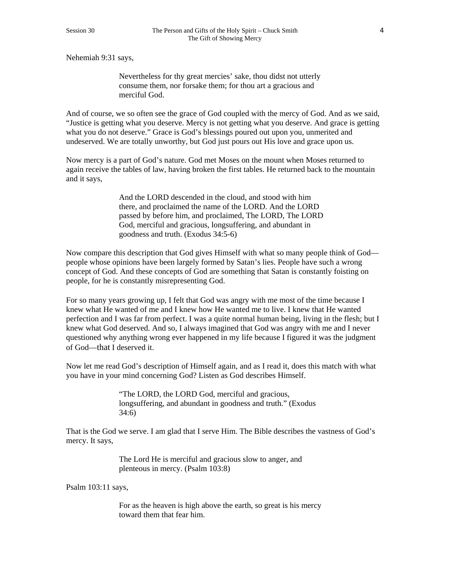Nehemiah 9:31 says,

Nevertheless for thy great mercies' sake, thou didst not utterly consume them, nor forsake them; for thou art a gracious and merciful God.

And of course, we so often see the grace of God coupled with the mercy of God. And as we said, "Justice is getting what you deserve. Mercy is not getting what you deserve. And grace is getting what you do not deserve." Grace is God's blessings poured out upon you, unmerited and undeserved. We are totally unworthy, but God just pours out His love and grace upon us.

Now mercy is a part of God's nature. God met Moses on the mount when Moses returned to again receive the tables of law, having broken the first tables. He returned back to the mountain and it says,

> And the LORD descended in the cloud, and stood with him there, and proclaimed the name of the LORD. And the LORD passed by before him, and proclaimed, The LORD, The LORD God, merciful and gracious, longsuffering, and abundant in goodness and truth. (Exodus 34:5-6)

Now compare this description that God gives Himself with what so many people think of God people whose opinions have been largely formed by Satan's lies. People have such a wrong concept of God. And these concepts of God are something that Satan is constantly foisting on people, for he is constantly misrepresenting God.

For so many years growing up, I felt that God was angry with me most of the time because I knew what He wanted of me and I knew how He wanted me to live. I knew that He wanted perfection and I was far from perfect. I was a quite normal human being, living in the flesh; but I knew what God deserved. And so, I always imagined that God was angry with me and I never questioned why anything wrong ever happened in my life because I figured it was the judgment of God—that I deserved it.

Now let me read God's description of Himself again, and as I read it, does this match with what you have in your mind concerning God? Listen as God describes Himself.

> "The LORD, the LORD God, merciful and gracious, longsuffering, and abundant in goodness and truth." (Exodus 34:6)

That is the God we serve. I am glad that I serve Him. The Bible describes the vastness of God's mercy. It says,

> The Lord He is merciful and gracious slow to anger, and plenteous in mercy. (Psalm 103:8)

Psalm 103:11 says,

For as the heaven is high above the earth, so great is his mercy toward them that fear him.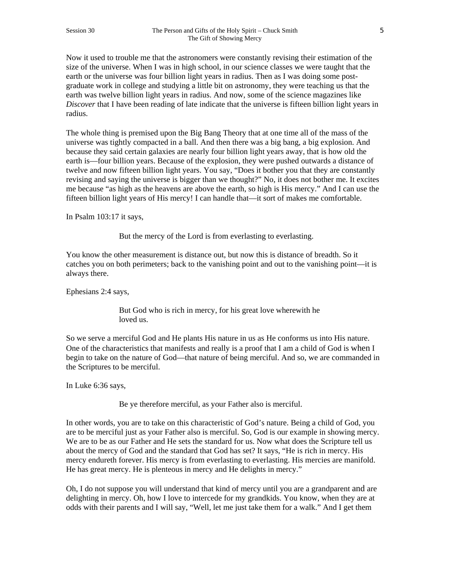Now it used to trouble me that the astronomers were constantly revising their estimation of the size of the universe. When I was in high school, in our science classes we were taught that the earth or the universe was four billion light years in radius. Then as I was doing some postgraduate work in college and studying a little bit on astronomy, they were teaching us that the earth was twelve billion light years in radius. And now, some of the science magazines like *Discover* that I have been reading of late indicate that the universe is fifteen billion light years in radius.

The whole thing is premised upon the Big Bang Theory that at one time all of the mass of the universe was tightly compacted in a ball. And then there was a big bang, a big explosion. And because they said certain galaxies are nearly four billion light years away, that is how old the earth is—four billion years. Because of the explosion, they were pushed outwards a distance of twelve and now fifteen billion light years. You say, "Does it bother you that they are constantly revising and saying the universe is bigger than we thought?" No, it does not bother me. It excites me because "as high as the heavens are above the earth, so high is His mercy." And I can use the fifteen billion light years of His mercy! I can handle that—it sort of makes me comfortable.

In Psalm 103:17 it says,

But the mercy of the Lord is from everlasting to everlasting.

You know the other measurement is distance out, but now this is distance of breadth. So it catches you on both perimeters; back to the vanishing point and out to the vanishing point—it is always there.

Ephesians 2:4 says,

But God who is rich in mercy, for his great love wherewith he loved us.

So we serve a merciful God and He plants His nature in us as He conforms us into His nature. One of the characteristics that manifests and really is a proof that I am a child of God is when I begin to take on the nature of God—that nature of being merciful. And so, we are commanded in the Scriptures to be merciful.

In Luke 6:36 says,

Be ye therefore merciful, as your Father also is merciful.

In other words, you are to take on this characteristic of God's nature. Being a child of God, you are to be merciful just as your Father also is merciful. So, God is our example in showing mercy. We are to be as our Father and He sets the standard for us. Now what does the Scripture tell us about the mercy of God and the standard that God has set? It says, "He is rich in mercy. His mercy endureth forever. His mercy is from everlasting to everlasting. His mercies are manifold. He has great mercy. He is plenteous in mercy and He delights in mercy."

Oh, I do not suppose you will understand that kind of mercy until you are a grandparent and are delighting in mercy. Oh, how I love to intercede for my grandkids. You know, when they are at odds with their parents and I will say, "Well, let me just take them for a walk." And I get them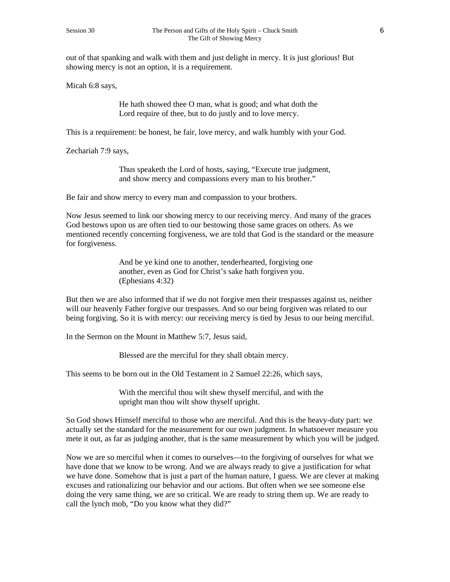out of that spanking and walk with them and just delight in mercy. It is just glorious! But showing mercy is not an option, it is a requirement.

Micah 6:8 says,

He hath showed thee O man, what is good; and what doth the Lord require of thee, but to do justly and to love mercy.

This is a requirement: be honest, be fair, love mercy, and walk humbly with your God.

Zechariah 7:9 says,

Thus speaketh the Lord of hosts, saying, "Execute true judgment, and show mercy and compassions every man to his brother."

Be fair and show mercy to every man and compassion to your brothers.

Now Jesus seemed to link our showing mercy to our receiving mercy. And many of the graces God bestows upon us are often tied to our bestowing those same graces on others. As we mentioned recently concerning forgiveness, we are told that God is the standard or the measure for forgiveness.

> And be ye kind one to another, tenderhearted, forgiving one another, even as God for Christ's sake hath forgiven you. (Ephesians 4:32)

But then we are also informed that if we do not forgive men their trespasses against us, neither will our heavenly Father forgive our trespasses. And so our being forgiven was related to our being forgiving. So it is with mercy: our receiving mercy is tied by Jesus to our being merciful.

In the Sermon on the Mount in Matthew 5:7, Jesus said,

Blessed are the merciful for they shall obtain mercy.

This seems to be born out in the Old Testament in 2 Samuel 22:26, which says,

With the merciful thou wilt shew thyself merciful, and with the upright man thou wilt show thyself upright.

So God shows Himself merciful to those who are merciful. And this is the heavy-duty part: we actually set the standard for the measurement for our own judgment. In whatsoever measure you mete it out, as far as judging another, that is the same measurement by which you will be judged.

Now we are so merciful when it comes to ourselves—to the forgiving of ourselves for what we have done that we know to be wrong. And we are always ready to give a justification for what we have done. Somehow that is just a part of the human nature, I guess. We are clever at making excuses and rationalizing our behavior and our actions. But often when we see someone else doing the very same thing, we are so critical. We are ready to string them up. We are ready to call the lynch mob, "Do you know what they did?"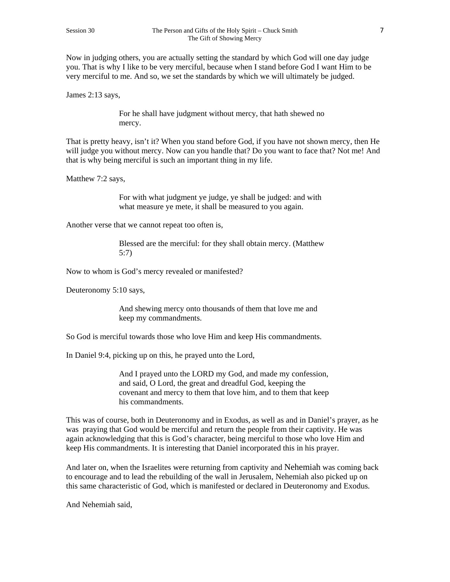Now in judging others, you are actually setting the standard by which God will one day judge you. That is why I like to be very merciful, because when I stand before God I want Him to be very merciful to me. And so, we set the standards by which we will ultimately be judged.

James 2:13 says,

For he shall have judgment without mercy, that hath shewed no mercy.

That is pretty heavy, isn't it? When you stand before God, if you have not shown mercy, then He will judge you without mercy. Now can you handle that? Do you want to face that? Not me! And that is why being merciful is such an important thing in my life.

Matthew 7:2 says,

For with what judgment ye judge, ye shall be judged: and with what measure ye mete, it shall be measured to you again.

Another verse that we cannot repeat too often is,

Blessed are the merciful: for they shall obtain mercy. (Matthew 5:7)

Now to whom is God's mercy revealed or manifested?

Deuteronomy 5:10 says,

And shewing mercy onto thousands of them that love me and keep my commandments.

So God is merciful towards those who love Him and keep His commandments.

In Daniel 9:4, picking up on this, he prayed unto the Lord,

And I prayed unto the LORD my God, and made my confession, and said, O Lord, the great and dreadful God, keeping the covenant and mercy to them that love him, and to them that keep his commandments.

This was of course, both in Deuteronomy and in Exodus, as well as and in Daniel's prayer, as he was praying that God would be merciful and return the people from their captivity. He was again acknowledging that this is God's character, being merciful to those who love Him and keep His commandments. It is interesting that Daniel incorporated this in his prayer.

And later on, when the Israelites were returning from captivity and Nehemiah was coming back to encourage and to lead the rebuilding of the wall in Jerusalem, Nehemiah also picked up on this same characteristic of God, which is manifested or declared in Deuteronomy and Exodus.

And Nehemiah said,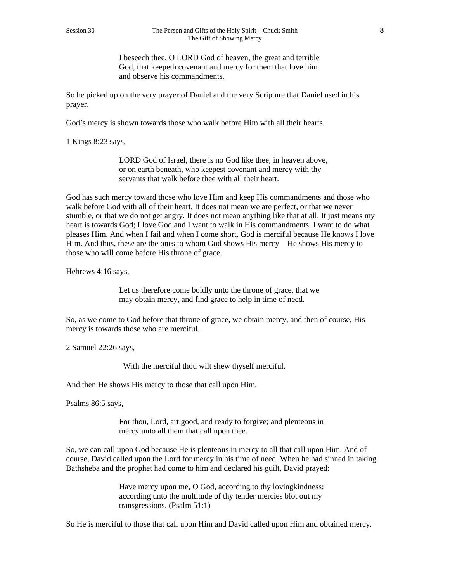I beseech thee, O LORD God of heaven, the great and terrible God, that keepeth covenant and mercy for them that love him and observe his commandments.

So he picked up on the very prayer of Daniel and the very Scripture that Daniel used in his prayer.

God's mercy is shown towards those who walk before Him with all their hearts.

1 Kings 8:23 says,

LORD God of Israel, there is no God like thee, in heaven above, or on earth beneath, who keepest covenant and mercy with thy servants that walk before thee with all their heart.

God has such mercy toward those who love Him and keep His commandments and those who walk before God with all of their heart. It does not mean we are perfect, or that we never stumble, or that we do not get angry. It does not mean anything like that at all. It just means my heart is towards God; I love God and I want to walk in His commandments. I want to do what pleases Him. And when I fail and when I come short, God is merciful because He knows I love Him. And thus, these are the ones to whom God shows His mercy—He shows His mercy to those who will come before His throne of grace.

Hebrews 4:16 says,

Let us therefore come boldly unto the throne of grace, that we may obtain mercy, and find grace to help in time of need.

So, as we come to God before that throne of grace, we obtain mercy, and then of course, His mercy is towards those who are merciful.

2 Samuel 22:26 says,

With the merciful thou wilt shew thyself merciful.

And then He shows His mercy to those that call upon Him.

Psalms 86:5 says,

For thou, Lord, art good, and ready to forgive; and plenteous in mercy unto all them that call upon thee.

So, we can call upon God because He is plenteous in mercy to all that call upon Him. And of course, David called upon the Lord for mercy in his time of need. When he had sinned in taking Bathsheba and the prophet had come to him and declared his guilt, David prayed:

> Have mercy upon me, O God, according to thy lovingkindness: according unto the multitude of thy tender mercies blot out my transgressions. (Psalm 51:1)

So He is merciful to those that call upon Him and David called upon Him and obtained mercy.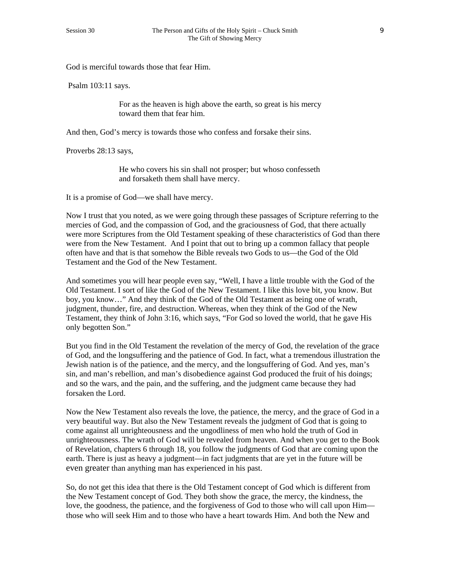God is merciful towards those that fear Him.

Psalm 103:11 says.

For as the heaven is high above the earth, so great is his mercy toward them that fear him.

And then, God's mercy is towards those who confess and forsake their sins.

Proverbs 28:13 says,

He who covers his sin shall not prosper; but whoso confesseth and forsaketh them shall have mercy.

It is a promise of God—we shall have mercy.

Now I trust that you noted, as we were going through these passages of Scripture referring to the mercies of God, and the compassion of God, and the graciousness of God, that there actually were more Scriptures from the Old Testament speaking of these characteristics of God than there were from the New Testament. And I point that out to bring up a common fallacy that people often have and that is that somehow the Bible reveals two Gods to us—the God of the Old Testament and the God of the New Testament.

And sometimes you will hear people even say, "Well, I have a little trouble with the God of the Old Testament. I sort of like the God of the New Testament. I like this love bit, you know. But boy, you know…" And they think of the God of the Old Testament as being one of wrath, judgment, thunder, fire, and destruction. Whereas, when they think of the God of the New Testament, they think of John 3:16, which says, "For God so loved the world, that he gave His only begotten Son."

But you find in the Old Testament the revelation of the mercy of God, the revelation of the grace of God, and the longsuffering and the patience of God. In fact, what a tremendous illustration the Jewish nation is of the patience, and the mercy, and the longsuffering of God. And yes, man's sin, and man's rebellion, and man's disobedience against God produced the fruit of his doings; and so the wars, and the pain, and the suffering, and the judgment came because they had forsaken the Lord.

Now the New Testament also reveals the love, the patience, the mercy, and the grace of God in a very beautiful way. But also the New Testament reveals the judgment of God that is going to come against all unrighteousness and the ungodliness of men who hold the truth of God in unrighteousness. The wrath of God will be revealed from heaven. And when you get to the Book of Revelation, chapters 6 through 18, you follow the judgments of God that are coming upon the earth. There is just as heavy a judgment—in fact judgments that are yet in the future will be even greater than anything man has experienced in his past.

So, do not get this idea that there is the Old Testament concept of God which is different from the New Testament concept of God. They both show the grace, the mercy, the kindness, the love, the goodness, the patience, and the forgiveness of God to those who will call upon Him those who will seek Him and to those who have a heart towards Him. And both the New and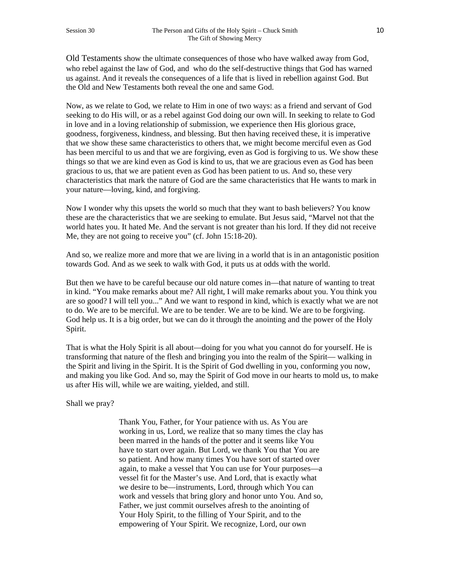Old Testaments show the ultimate consequences of those who have walked away from God, who rebel against the law of God, and who do the self-destructive things that God has warned us against. And it reveals the consequences of a life that is lived in rebellion against God. But the Old and New Testaments both reveal the one and same God.

Now, as we relate to God, we relate to Him in one of two ways: as a friend and servant of God seeking to do His will, or as a rebel against God doing our own will. In seeking to relate to God in love and in a loving relationship of submission, we experience then His glorious grace, goodness, forgiveness, kindness, and blessing. But then having received these, it is imperative that we show these same characteristics to others that, we might become merciful even as God has been merciful to us and that we are forgiving, even as God is forgiving to us. We show these things so that we are kind even as God is kind to us, that we are gracious even as God has been gracious to us, that we are patient even as God has been patient to us. And so, these very characteristics that mark the nature of God are the same characteristics that He wants to mark in your nature—loving, kind, and forgiving.

Now I wonder why this upsets the world so much that they want to bash believers? You know these are the characteristics that we are seeking to emulate. But Jesus said, "Marvel not that the world hates you. It hated Me. And the servant is not greater than his lord. If they did not receive Me, they are not going to receive you" (cf. John 15:18-20).

And so, we realize more and more that we are living in a world that is in an antagonistic position towards God. And as we seek to walk with God, it puts us at odds with the world.

But then we have to be careful because our old nature comes in—that nature of wanting to treat in kind. "You make remarks about me? All right, I will make remarks about you. You think you are so good? I will tell you..." And we want to respond in kind, which is exactly what we are not to do. We are to be merciful. We are to be tender. We are to be kind. We are to be forgiving. God help us. It is a big order, but we can do it through the anointing and the power of the Holy Spirit.

That is what the Holy Spirit is all about—doing for you what you cannot do for yourself. He is transforming that nature of the flesh and bringing you into the realm of the Spirit— walking in the Spirit and living in the Spirit. It is the Spirit of God dwelling in you, conforming you now, and making you like God. And so, may the Spirit of God move in our hearts to mold us, to make us after His will, while we are waiting, yielded, and still.

Shall we pray?

Thank You, Father, for Your patience with us. As You are working in us, Lord, we realize that so many times the clay has been marred in the hands of the potter and it seems like You have to start over again. But Lord, we thank You that You are so patient. And how many times You have sort of started over again, to make a vessel that You can use for Your purposes—a vessel fit for the Master's use. And Lord, that is exactly what we desire to be—instruments, Lord, through which You can work and vessels that bring glory and honor unto You. And so, Father, we just commit ourselves afresh to the anointing of Your Holy Spirit, to the filling of Your Spirit, and to the empowering of Your Spirit. We recognize, Lord, our own